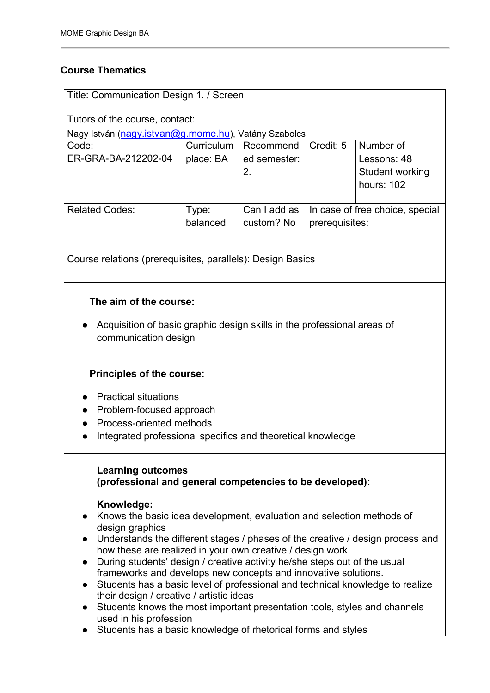## **Course Thematics**

| Title: Communication Design 1. / Screen                    |            |              |                                                   |                        |
|------------------------------------------------------------|------------|--------------|---------------------------------------------------|------------------------|
|                                                            |            |              |                                                   |                        |
| Tutors of the course, contact:                             |            |              |                                                   |                        |
| Nagy István (nagy.istvan@g.mome.hu), Vatány Szabolcs       |            |              |                                                   |                        |
| Code:                                                      | Curriculum | Recommend    | Credit: 5                                         | Number of              |
| ER-GRA-BA-212202-04                                        | place: BA  | ed semester: |                                                   | Lessons: 48            |
|                                                            |            | 2.           |                                                   | <b>Student working</b> |
|                                                            |            |              |                                                   | hours: $102$           |
|                                                            |            |              |                                                   |                        |
| <b>Related Codes:</b>                                      | Type:      | Can I add as | In case of free choice, special<br>prerequisites: |                        |
|                                                            | balanced   | custom? No   |                                                   |                        |
|                                                            |            |              |                                                   |                        |
|                                                            |            |              |                                                   |                        |
| Course relations (prerequisites, parallels): Design Basics |            |              |                                                   |                        |

## **The aim of the course:**

● Acquisition of basic graphic design skills in the professional areas of communication design

## **Principles of the course:**

- Practical situations
- Problem-focused approach
- Process-oriented methods
- Integrated professional specifics and theoretical knowledge

## **Learning outcomes**

## **(professional and general competencies to be developed):**

## **Knowledge:**

- Knows the basic idea development, evaluation and selection methods of design graphics
- Understands the different stages / phases of the creative / design process and how these are realized in your own creative / design work
- During students' design / creative activity he/she steps out of the usual frameworks and develops new concepts and innovative solutions.
- Students has a basic level of professional and technical knowledge to realize their design / creative / artistic ideas
- Students knows the most important presentation tools, styles and channels used in his profession
- Students has a basic knowledge of rhetorical forms and styles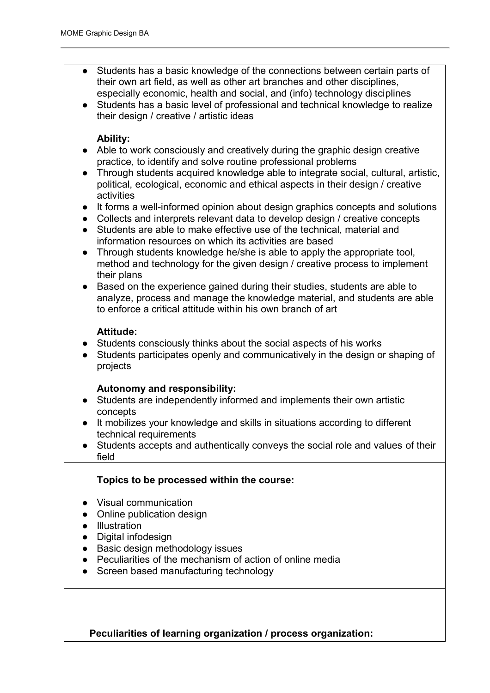- Students has a basic knowledge of the connections between certain parts of their own art field, as well as other art branches and other disciplines, especially economic, health and social, and (info) technology disciplines
- Students has a basic level of professional and technical knowledge to realize their design / creative / artistic ideas

### **Ability:**

- Able to work consciously and creatively during the graphic design creative practice, to identify and solve routine professional problems
- Through students acquired knowledge able to integrate social, cultural, artistic, political, ecological, economic and ethical aspects in their design / creative activities
- It forms a well-informed opinion about design graphics concepts and solutions
- Collects and interprets relevant data to develop design / creative concepts
- Students are able to make effective use of the technical, material and information resources on which its activities are based
- Through students knowledge he/she is able to apply the appropriate tool, method and technology for the given design / creative process to implement their plans
- Based on the experience gained during their studies, students are able to analyze, process and manage the knowledge material, and students are able to enforce a critical attitude within his own branch of art

### **Attitude:**

- Students consciously thinks about the social aspects of his works
- Students participates openly and communicatively in the design or shaping of projects

### **Autonomy and responsibility:**

- Students are independently informed and implements their own artistic concepts
- It mobilizes your knowledge and skills in situations according to different technical requirements
- Students accepts and authentically conveys the social role and values of their field

## **Topics to be processed within the course:**

- Visual communication
- Online publication design
- Illustration
- Digital infodesign
- Basic design methodology issues
- Peculiarities of the mechanism of action of online media
- Screen based manufacturing technology

**Peculiarities of learning organization / process organization:**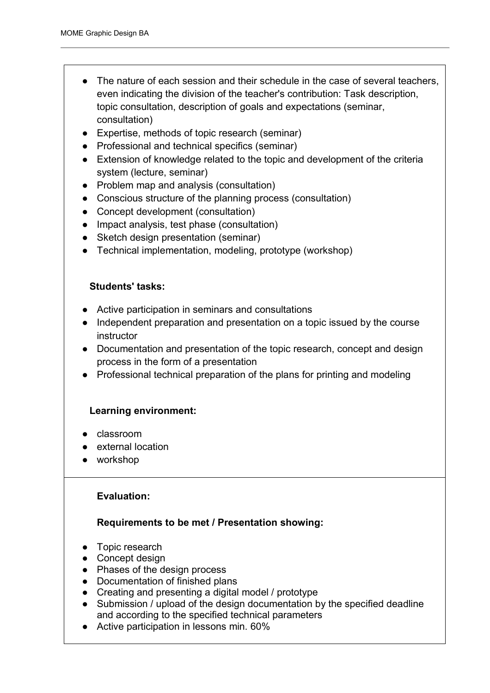- The nature of each session and their schedule in the case of several teachers, even indicating the division of the teacher's contribution: Task description, topic consultation, description of goals and expectations (seminar, consultation)
- Expertise, methods of topic research (seminar)
- Professional and technical specifics (seminar)
- Extension of knowledge related to the topic and development of the criteria system (lecture, seminar)
- Problem map and analysis (consultation)
- Conscious structure of the planning process (consultation)
- Concept development (consultation)
- Impact analysis, test phase (consultation)
- Sketch design presentation (seminar)
- Technical implementation, modeling, prototype (workshop)

### **Students' tasks:**

- Active participation in seminars and consultations
- Independent preparation and presentation on a topic issued by the course instructor
- Documentation and presentation of the topic research, concept and design process in the form of a presentation
- Professional technical preparation of the plans for printing and modeling

### **Learning environment:**

- classroom
- external location
- workshop

### **Evaluation:**

### **Requirements to be met / Presentation showing:**

- Topic research
- Concept design
- Phases of the design process
- Documentation of finished plans
- Creating and presenting a digital model / prototype
- Submission / upload of the design documentation by the specified deadline and according to the specified technical parameters
- Active participation in lessons min. 60%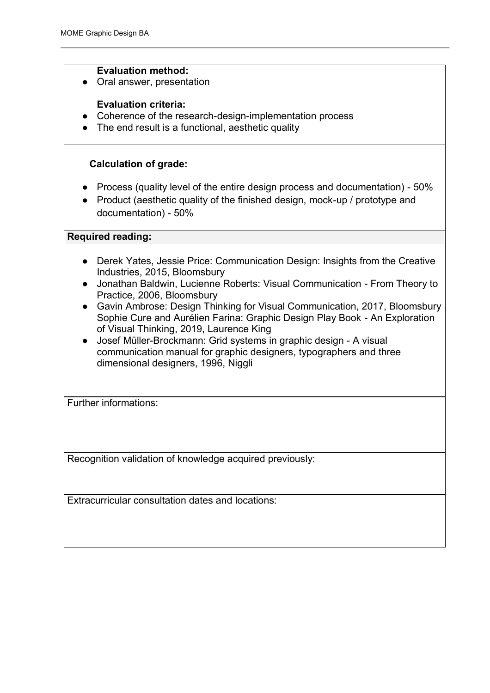#### **Evaluation method:**

● Oral answer, presentation

### **Evaluation criteria:**

- Coherence of the research-design-implementation process
- The end result is a functional, aesthetic quality

### **Calculation of grade:**

- Process (quality level of the entire design process and documentation) 50%
- Product (aesthetic quality of the finished design, mock-up / prototype and documentation) - 50%

#### **Required reading:**

- Derek Yates, Jessie Price: Communication Design: Insights from the Creative Industries, 2015, Bloomsbury
- Jonathan Baldwin, Lucienne Roberts: Visual Communication From Theory to Practice, 2006, Bloomsbury
- Gavin Ambrose: Design Thinking for Visual Communication, 2017, Bloomsbury Sophie Cure and Aurélien Farina: Graphic Design Play Book - An Exploration of Visual Thinking, 2019, Laurence King
- Josef Müller-Brockmann: Grid systems in graphic design A visual communication manual for graphic designers, typographers and three dimensional designers, 1996, Niggli

Further informations:

Recognition validation of knowledge acquired previously:

Extracurricular consultation dates and locations: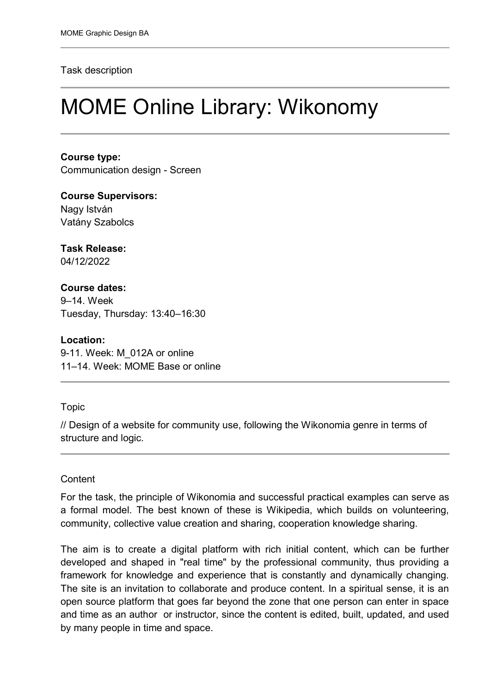#### Task description

# MOME Online Library: Wikonomy

**Course type:** Communication design - Screen

**Course Supervisors:**  Nagy István Vatány Szabolcs

**Task Release:** 04/12/2022

## **Course dates:**

9–14. Week Tuesday, Thursday: 13:40–16:30

**Location:**

9-11. Week: M\_012A or online 11–14. Week: MOME Base or online

### Topic

// Design of a website for community use, following the Wikonomia genre in terms of structure and logic.

## **Content**

For the task, the principle of Wikonomia and successful practical examples can serve as a formal model. The best known of these is Wikipedia, which builds on volunteering, community, collective value creation and sharing, cooperation knowledge sharing.

The aim is to create a digital platform with rich initial content, which can be further developed and shaped in "real time" by the professional community, thus providing a framework for knowledge and experience that is constantly and dynamically changing. The site is an invitation to collaborate and produce content. In a spiritual sense, it is an open source platform that goes far beyond the zone that one person can enter in space and time as an author or instructor, since the content is edited, built, updated, and used by many people in time and space.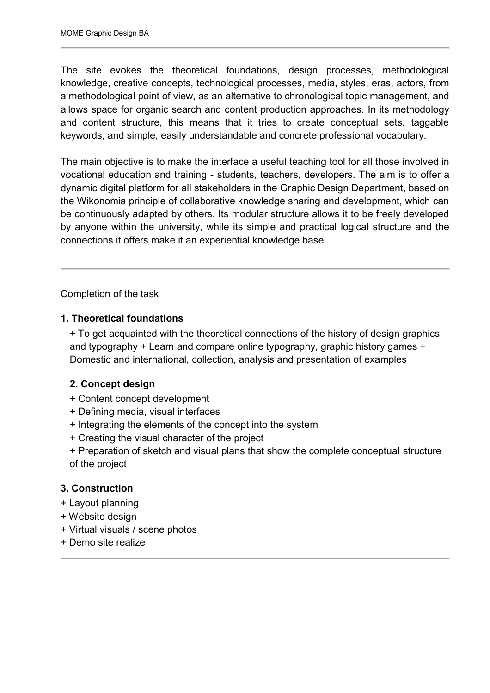The site evokes the theoretical foundations, design processes, methodological knowledge, creative concepts, technological processes, media, styles, eras, actors, from a methodological point of view, as an alternative to chronological topic management, and allows space for organic search and content production approaches. In its methodology and content structure, this means that it tries to create conceptual sets, taggable keywords, and simple, easily understandable and concrete professional vocabulary.

The main objective is to make the interface a useful teaching tool for all those involved in vocational education and training - students, teachers, developers. The aim is to offer a dynamic digital platform for all stakeholders in the Graphic Design Department, based on the Wikonomia principle of collaborative knowledge sharing and development, which can be continuously adapted by others. Its modular structure allows it to be freely developed by anyone within the university, while its simple and practical logical structure and the connections it offers make it an experiential knowledge base.

Completion of the task

## **1. Theoretical foundations**

+ To get acquainted with the theoretical connections of the history of design graphics and typography + Learn and compare online typography, graphic history games + Domestic and international, collection, analysis and presentation of examples

## **2. Concept design**

- + Content concept development
- + Defining media, visual interfaces
- + Integrating the elements of the concept into the system
- + Creating the visual character of the project
- + Preparation of sketch and visual plans that show the complete conceptual structure of the project

## **3. Construction**

- + Layout planning
- + Website design
- + Virtual visuals / scene photos
- + Demo site realize